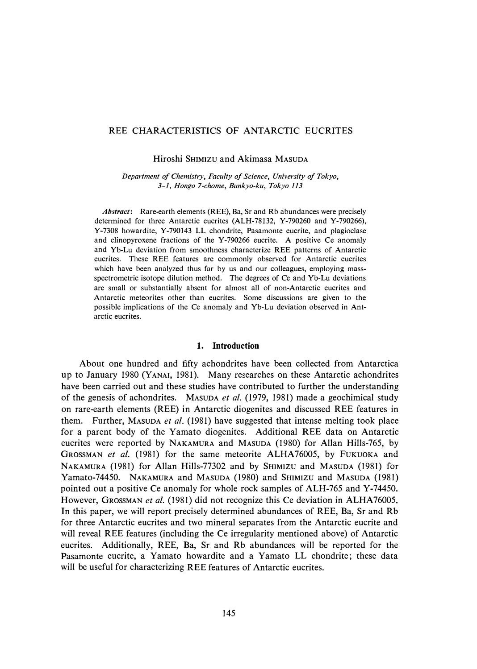# REE CHARACTERISTICS OF ANTARCTIC EUCRITES

Hiroshi SHIMIZU and Akimasa MASUDA

*Department of Chemistry, Faculty of Science, University of Tokyo, 3-1, Hongo 7-chome, Bunkyo-ku, Tokyo 113* 

*Abstract:* Rare-earth elements (REE), Ba, Sr and Rb abundances were precisely determined for three Antarctic eucrites (ALH-78132, Y-790260 and Y-790266), Y-7308 howardite, Y-790143 LL chondrite, Pasamonte eucrite, and plagioclase and clinopyroxene fractions of the Y-790266 eucrite. A positive Ce anomaly and Yb-Lu deviation from smoothness characterize REE patterns of Antarctic eucrites. These REE features are commonly observed for Antarctic eucrites which have been analyzed thus far by us and our colleagues, employing massspectrometric isotope dilution method. The degrees of Ce and Yb-Lu deviations are small or substantially absent for almost all of non-Antarctic eucrites and Antarctic meteorites other than eucrites. Some discussions are given to the possible implications of the Ce anomaly and Yb-Lu deviation observed in Antarctic eucrites.

### **1. Introduction**

About one hundred and fifty achondrites have been collected from Antarctica up to January 1980 (YANAI, 1981). Many researches on these Antarctic achondrites have been carried out and these studies have contributed to further the understanding of the genesis of achondrites. MASUDA *et al.* (1979, 1981) made a geochimical study on rare-earth elements (REE) in Antarctic diogenites and discussed REE features in them. Further, MASUDA *et al.* (1981) have suggested that intense melting took place for a parent body of the Yamato diogenites. Additional REE data on Antarctic eucrites were reported by NAKAMURA and MASUDA (1980) for Allan Hills-765, by GROSSMAN *et al.* (1981) for the same meteorite ALHA76005, by FUKUOKA and NAKAMURA (1981) for Allan Hills-77302 and by SHIMIZU and MASUDA (1981) for Yamato-74450. NAKAMURA and MASUDA (1980) and SHIMIZU and MASUDA (1981) pointed out a positive Ce anomaly for whole rock samples of ALH-765 and Y-74450. However, GROSSMAN *et al.* (1981) did not recognize this Ce deviation in ALHA76005. In this paper, we will report precisely determined abundances of REE, Ba, Sr and Rb for three Antarctic eucrites and two mineral separates from the Antarctic eucrite and will reveal REE features (including the Ce irregularity mentioned above) of Antarctic eucrites. Additionally, REE, Ba, Sr and Rb abundances will be reported for the Pasamonte eucrite, a Yamato howardite and a Yamato LL chondrite; these data will be useful for characterizing REE features of Antarctic eucrites.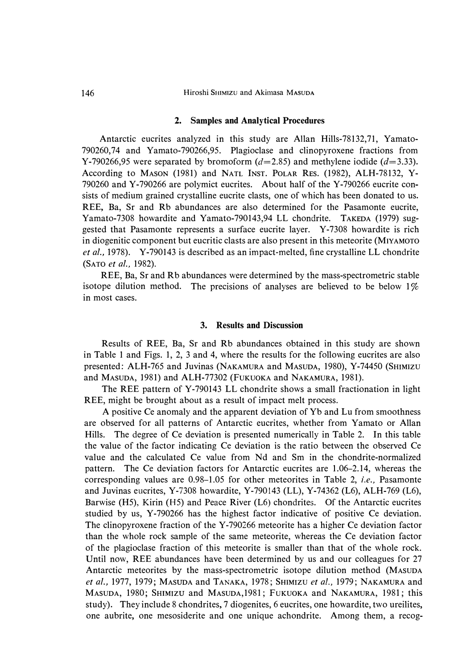#### **2. Samples and Analytical Procedures**

**Antarctic eucrites analyzed in this study are Allan Hills-78132,71, Yamato-790260,74 and Yamato-790266,95. Plagioclase and clinopyroxene fractions from Y-790266,95** were separated by bromoform  $(d=2.85)$  and methylene iodide  $(d=3.33)$ . **According to MASON (1981) and NATL INST. POLAR RES. (1982), ALH-78132, Y-790260 and Y-790266 are polymict eucrites. About half of the Y-790266 eucrite consists of medium grained crystalline eucrite clasts, one of which has been donated to us. REE, Ba, Sr and Rb abundances are also determined for the Pasamonte eucrite, Yamato-7308 howardite and Yamato-790143,94 LL chondrite. TAKEDA (1979) suggested that Pasamonte represents a surface eucrite layer. Y-7308 howardite is rich in diogenitic component but eucritic clasts are also present in this meteorite (MIYAMOTO**  *et al.,* **1978). Y-790143 is described as an impact-melted, fine crystalline LL chondrite (SATO** *et al.,* **1982).** 

**REE, Ba, Sr and Rb abundances were determined by the mass-spectrometric stable**  isotope dilution method. The precisions of analyses are believed to be below 1% **in most cases.** 

# **3. Results and Discussion**

**Results of REE, Ba, Sr and Rb abundances obtained in this study are shown in Table 1 and Figs. 1, 2, 3 and 4, where the results for the following eucrites are also presented: ALH-765 and Juvinas (NAKAMURA and MASUDA, 1980), Y-74450 (SHIMIZU and MASUDA, 1981) and ALH-77302 (FUKUOKA and NAKAMURA, 1981).** 

**The REE pattern of Y-790143 LL chondrite shows a small fractionation in light REE, might be brought about as a result of impact melt process.** 

**A positive Ce anomaly and the apparent deviation of Yb and Lu from smoothness are observed for all patterns of Antarctic eucrites, whether from Yamato or Allan Hills. The degree of Ce deviation is presented numerically in Table 2. In this table the value of the factor indicating Ce deviation is the ratio between the observed Ce value and the calculated Ce value from Nd and Sm in the chondrite-normalized pattern. The Ce deviation factors for Antarctic eucrites are 1.06-2.14, whereas the corresponding values are 0.98-1.05 for other meteorites in Table 2,** *i.e.,* **Pasamonte and Juvinas eucrites, Y-7308 howardite, Y-790143 (LL), Y-74362 (L6), ALH-769 (L6), Barwise (H5), Kirin (H5) and Peace River (L6) chondrites. Of the Antarctic eucrites studied by us, Y-790266 has the highest factor indicative of positive Ce deviation. The clinopyroxene fraction of the Y-790266 meteorite has a higher Ce deviation factor than the whole rock sample of the same meteorite, whereas the Ce deviation factor of the plagioclase fraction of this meteorite is smaller than that of the whole rock. Until now, REE abundances have been determined by us and our colleagues for 27 Antarctic meteorites by the mass-spectrometric isotope dilution method (MASUDA**  *et al.,* **1977, 1979; MASUDA and TANAKA, 1978; SHIMIZU** *et al.,* **1979; NAKAMURA and MASUDA, 1980; SHIMIZU and MASUDA,1981; FUKUOKA and NAKAMURA, 1981; this study). They include 8 chondrites, 7 diogenites, 6 eucrites, one howardite, two ureilites, one aubrite, one mesosiderite and one unique achondrite. Among them, a recog-**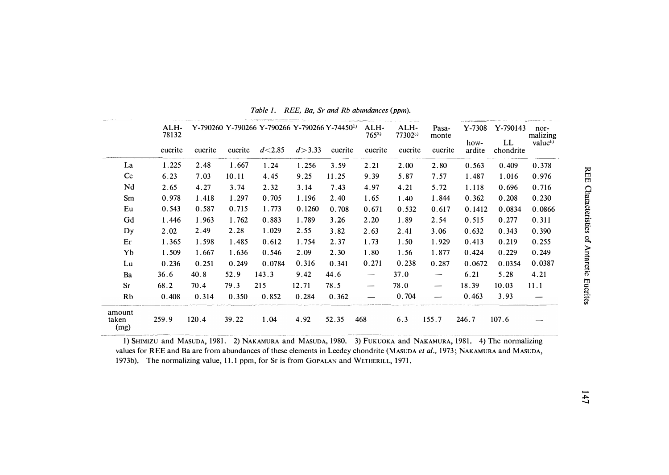|                         |               |         |         | $\sim$ 0.000 $\sim$ 0.000 $\sim$ 0.000 $\sim$ 0.000 $\sim$ 0.000 $\sim$ |          |         | <u> Albert de Samo</u> |                            |                           |                            |                             |                                        |
|-------------------------|---------------|---------|---------|-------------------------------------------------------------------------|----------|---------|------------------------|----------------------------|---------------------------|----------------------------|-----------------------------|----------------------------------------|
|                         | ALH-<br>78132 |         |         | Y-790260 Y-790266 Y-790266 Y-790266 Y-74450 <sup>1)</sup><br>$d$ < 2.85 |          |         | ALH-<br>$765^{2}$      | ALH-<br>773023)<br>eucrite | Pasa-<br>monte<br>eucrite | $Y-7308$<br>how-<br>ardite | Y-790143<br>LL<br>chondrite | nor-<br>malizing<br>value <sup>4</sup> |
|                         | eucrite       | eucrite | eucrite |                                                                         | d > 3.33 | eucrite | eucrite                |                            |                           |                            |                             |                                        |
| La                      | 1.225         | 2.48    | 1.667   | 1.24                                                                    | 1.256    | 3.59    | 2.21                   | 2.00                       | 2.80                      | 0.563                      | 0.409                       | 0.378                                  |
| Ce                      | 6.23          | 7.03    | 10.11   | 4.45                                                                    | 9.25     | 11.25   | 9.39                   | 5.87                       | 7.57                      | 1.487                      | 1.016                       | 0.976                                  |
| Nd                      | 2.65          | 4.27    | 3.74    | 2.32                                                                    | 3.14     | 7.43    | 4.97                   | 4.21                       | 5.72                      | 1.118                      | 0.696                       | 0.716                                  |
| Sm                      | 0.978         | 1.418   | 1.297   | 0.705                                                                   | 1.196    | 2.40    | 1.65                   | 1.40                       | 1.844                     | 0.362                      | 0.208                       | 0.230                                  |
| Eu                      | 0.543         | 0.587   | 0.715   | 1.773                                                                   | 0.1260   | 0.708   | 0.671                  | 0.532                      | 0.617                     | 0.1412                     | 0.0834                      | 0.0866                                 |
| Gd                      | 1.446         | 1.963   | 1.762   | 0.883                                                                   | 1.789    | 3.26    | 2.20                   | 1.89                       | 2.54                      | 0.515                      | 0.277                       | 0.311                                  |
| Dy                      | 2.02          | 2.49    | 2.28    | 1.029                                                                   | 2.55     | 3.82    | 2.63                   | 2.41                       | 3.06                      | 0.632                      | 0.343                       | 0.390                                  |
| Er                      | 1.365         | 1.598   | 1.485   | 0.612                                                                   | 1.754    | 2.37    | 1.73                   | 1.50                       | 1.929                     | 0.413                      | 0.219                       | 0.255                                  |
| Yb                      | 1.509         | 1.667   | 1.636   | 0.546                                                                   | 2.09     | 2.30    | 1.80                   | 1.56                       | 1.877                     | 0.424                      | 0.229                       | 0.249                                  |
| Lu                      | 0.236         | 0.251   | 0.249   | 0.0784                                                                  | 0.316    | 0.341   | 0.271                  | 0.238                      | 0.287                     | 0.0672                     | 0.0354                      | 0.0387                                 |
| Ba                      | 36.6          | 40.8    | 52.9    | 143.3                                                                   | 9.42     | 44.6    | —                      | 37.0                       | —                         | 6.21                       | 5.28                        | 4.21                                   |
| <b>Sr</b>               | 68.2          | 70.4    | 79.3    | 215                                                                     | 12.71    | 78.5    | —                      | 78.0                       | —                         | 18.39                      | 10.03                       | 11.1                                   |
| Rb                      | 0.408         | 0.314   | 0.350   | 0.852                                                                   | 0.284    | 0.362   |                        | 0.704                      |                           | 0.463                      | 3.93                        |                                        |
| amount<br>taken<br>(mg) | 259.9         | 120.4   | 39.22   | 1.04                                                                    | 4.92     | 52.35   | 468                    | 6.3                        | 155.7                     | 246.7                      | 107.6                       |                                        |

Table 1. REE, Ba, Sr and Rb abundances (ppm).

1) SHIMIZU and MASUDA, 1981. 2) NAKAMURA and MASUDA, 1980. 3) FUKUOKA and NAKAMURA, 1981. 4) The normalizing values for REE and Ba are from abundances of these elements in Leedey chondrite (MASUDA et al., 1973; NAKAMURA and MASUDA, 1973b). The normalizing value, 11.1 ppm, for Sr is from GOPALAN and WETHERILL, 1971.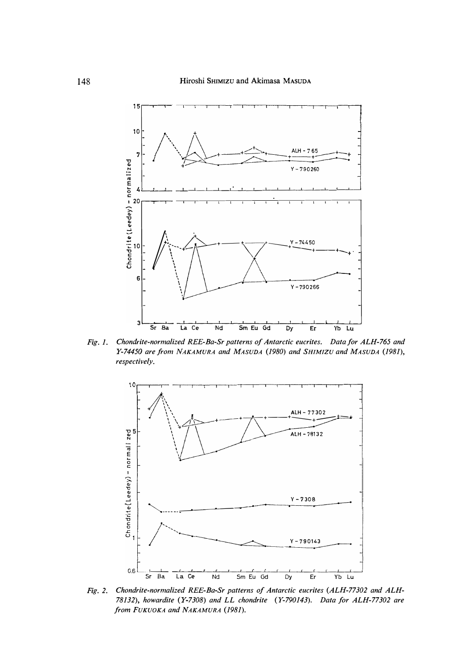

Fig. 1. Chondrite-normalized REE-Ba-Sr patterns of Antarctic eucrites. Data for ALH-765 and Y-74450 are from NAKAMURA and MASUDA (1980) and SHIMIZU and MASUDA (1981), respectively.



Fig. 2. Chondrite-normalized REE-Ba-Sr patterns of Antarctic eucrites (ALH-77302 and ALH-78132), howardite (Y-7308) and LL chondrite (Y-790143). Data for ALH-77302 are from FUKUOKA and NAKAMURA (1981).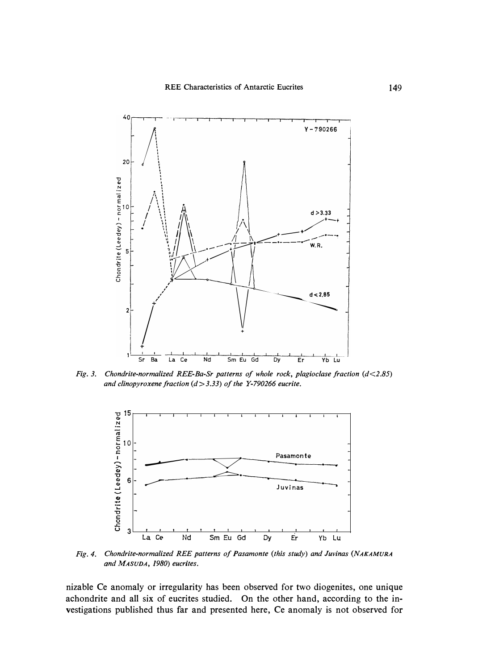

*Fig. 3. Chondrite-normalized REE-Ba-Sr patterns of whole rock, plagioclase fraction (d<2.85) and clinopyroxene fraction (d>3.33) of the Y-790266 eucrite.* 



*Fig. 4. Chondrite-normalized REE patterns of Pasamonte (this study) and Juvinas (NAKAMURA and MASUDA, 1980) eucrites.* 

nizable Ce anomaly or irregularity has been observed for two diogenites, one unique achondrite and all six of eucrites studied. On the other hand, according to the investigations published thus far and presented here, Ce anomaly is not observed for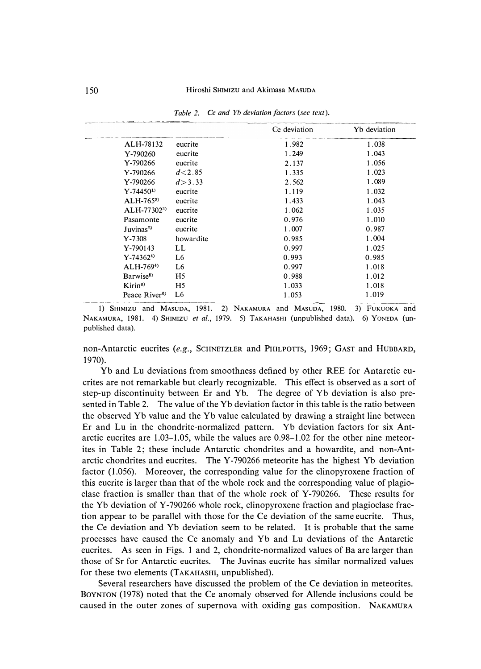|                                          |                | Ce deviation | Yb deviation |
|------------------------------------------|----------------|--------------|--------------|
| ALH-78132                                | eucrite        | 1.982        | 1.038        |
| Y-790260                                 | eucrite        | 1.249        | 1.043        |
| Y-790266                                 | eucrite        | 2.137        | 1.056        |
| Y-790266                                 | $d$ < 2.85     | 1.335        | 1.023        |
| Y-790266                                 | d > 3.33       | 2.562        | 1.089        |
| $Y - 74450^{1}$                          | eucrite        | 1.119        | 1.032        |
| $ALH-7652$                               | eucrite        | 1.433        | 1.043        |
| $ALH-77302^{3}$                          | eucrite        | 1.062        | 1.035        |
| Pasamonte                                | eucrite        | 0.976        | 1.010        |
| Juvinas <sup>2</sup>                     | eucrite        | 1.007        | 0.987        |
| $Y - 7308$                               | howardite      | 0.985        | 1.004        |
| Y-790143                                 | LL             | 0.997        | 1.025        |
| $Y - 743624$                             | L <sub>6</sub> | 0.993        | 0.985        |
| $ALH-7694$                               | L <sub>6</sub> | 0.997        | 1.018        |
| Barwise <sup>5</sup>                     | H <sub>5</sub> | 0.988        | 1.012        |
| Kirin <sup>6</sup>                       | H <sub>5</sub> | 1.033        | 1.018        |
| Peace $R$ iver <sup><math>6</math></sup> | L6             | 1.053        | 1.019        |

Table 2. Ce and Yb deviation factors (see text).

1) SHIMIZU and MASUDA, 1981. 2) NAKAMURA and MASUDA, 1980. 3) FUKUOKA and NAKAMURA, 1981. 4) SHIMIZU et al., 1979. 5) TAKAHASHI (unpublished data). 6) YONEDA (unpublished data).

non-Antarctic eucrites (e.g., SCHNETZLER and PHILPOTTS, 1969; GAST and HUBBARD, 1970).

Yb and Lu deviations from smoothness defined by other REE for Antarctic eucrites are not remarkable but clearly recognizable. This effect is observed as a sort of step-up discontinuity between Er and Yb. The degree of Yb deviation is also presented in Table 2. The value of the Yb deviation factor in this table is the ratio between the observed Yb value and the Yb value calculated by drawing a straight line between Er and Lu in the chondrite-normalized pattern. Yb deviation factors for six Antarctic eucrites are 1.03-1.05, while the values are 0.98-1.02 for the other nine meteorites in Table 2; these include Antarctic chondrites and a howardite, and non-Antarctic chondrites and eucrites. The Y-790266 meteorite has the highest Yb deviation factor (1.056). Moreover, the corresponding value for the clinopyroxene fraction of this eucrite is larger than that of the whole rock and the corresponding value of plagioclase fraction is smaller than that of the whole rock of Y-790266. These results for the Yb deviation of Y-790266 whole rock, clinopyroxene fraction and plagioclase fraction appear to be parallel with those for the Ce deviation of the same eucrite. Thus, the Ce deviation and Yb deviation seem to be related. It is probable that the same processes have caused the Ce anomaly and Yb and Lu deviations of the Antarctic eucrites. As seen in Figs. 1 and 2, chondrite-normalized values of Ba are larger than those of Sr for Antarctic eucrites. The Juvinas eucrite has similar normalized values for these two elements (TAKAHASHI, unpublished).

Several researchers have discussed the problem of the Ce deviation in meteorites. BOYNTON (1978) noted that the Ce anomaly observed for Allende inclusions could be caused in the outer zones of supernova with oxiding gas composition. NAKAMURA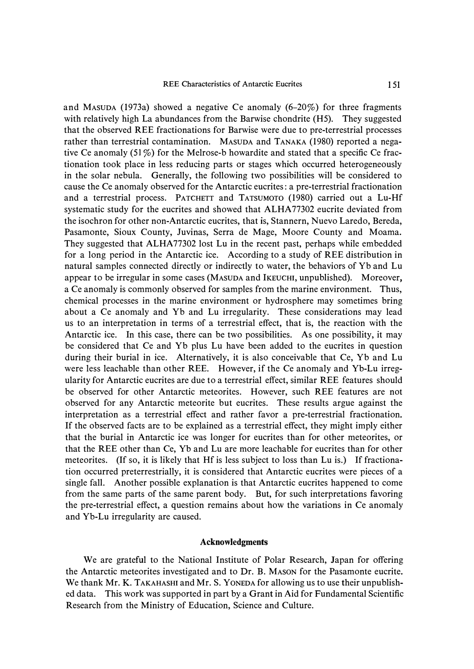**and MASUDA (1973a) showed a negative Ce anomaly (6-20%) for three fragments with relatively high La abundances from the Barwise chondrite (H5). They suggested that the observed REE fractionations for Barwise were due to pre-terrestrial processes rather than terrestrial contamination. MASUDA and TANAKA (1980) reported a negative Ce anomaly (51 %) for the Melrose-b howardite and stated that a specific Ce fractionation took place in less reducing parts or stages which occurred heterogeneously in the solar nebula. Generally, the following two possibilities will be considered to cause the Ce anomaly observed for the Antarctic eucrites: a pre-terrestrial fractionation and a terrestrial process. PATCHETT and TATSUMOTO (1980) carried out a Lu-Hf systematic study for the eucrites and showed that ALHA 77302 eucrite deviated from the isochron for other non-Antarctic eucrites, that is, Stannern, Nuevo Laredo, Bereda, Pasamonte, Sioux County, Juvinas, Serra de Mage, Moore County and Moama.**  They suggested that ALHA77302 lost Lu in the recent past, perhaps while embedded **for a long period in the Antarctic ice. According to a study of REE distribution in natural samples connected directly or indirectly to water, the behaviors of Yb and Lu appear to be irregular in some cases (MASUDA and IKEUCHI, unpublished). Moreover, a Ce anomaly is commonly observed for samples from the marine environment. Thus, chemical processes in the marine environment or hydrosphere may sometimes bring about a Ce anomaly and Yb and Lu irregularity. These considerations may lead us to an interpretation in terms of a terrestrial effect, that is, the reaction with the Antarctic ice. In this case, there can be two possibilities. As one possibility, it may be considered that Ce and Yb plus Lu have been added to the eucrites in question during their burial in ice. Alternatively, it is also conceivable that Ce, Yb and Lu were less leachable than other REE. However, if the Ce anomaly and Yb-Lu irregularity for Antarctic eucrites are due to a terrestrial effect, similar REE features should be observed for other Antarctic meteorites. However, such REE features are not observed for any Antarctic meteorite but eucrites. These results argue against the interpretation as a terrestrial effect and rather favor a pre-terrestrial fractionation. If the observed facts are to be explained as a terrestrial effect, they might imply either that the burial in Antarctic ice was longer for eucrites than for other meteorites, or that the REE other than Ce, Yb and Lu are more leachable for eucrites than for other meteorites. (If so, it is likely that Hf is less subject to loss than Lu is.) If fractionation occurred preterrestrially, it is considered that Antarctic eucrites were pieces of a single fall. Another possible explanation is that Antarctic eucrites happened to come from the same parts of the same parent body. But, for such interpretations favoring the pre-terrestrial effect, a question remains about how the variations in Ce anomaly and Yb-Lu irregularity are caused.** 

## **Acknowledgments**

**We are grateful to the National Institute of Polar Research, Japan for offering the Antarctic meteorites investigated and to Dr. B. MASON for the Pasamonte eucrite. We thank Mr. K. TAKAHASHI and Mr. S. YONEDA for allowing us to use their unpublished data. This work was supported in part by a Grant in Aid for Fundamental Scientific Research from the Ministry of Education, Science and Culture.**